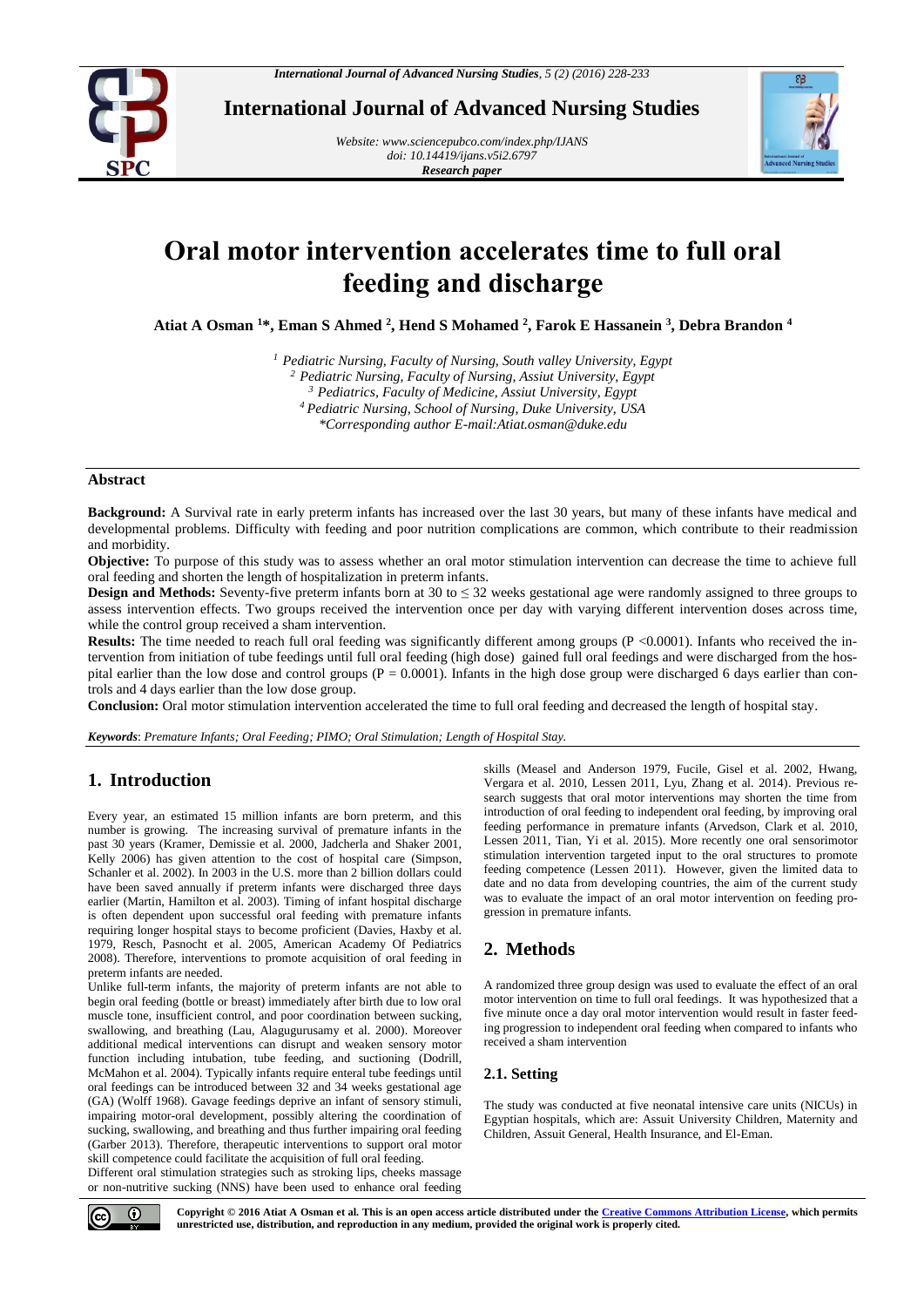

**International Journal of Advanced Nursing Studies**

*Website[: www.sciencepubco.com/index.php/IJANS](http://www.sciencepubco.com/index.php/IJANS) doi: 10.14419/ijans.v5i2.6797 Research paper*



# **Oral motor intervention accelerates time to full oral feeding and discharge**

**Atiat A Osman <sup>1</sup>\*, Eman S Ahmed <sup>2</sup> , Hend S Mohamed <sup>2</sup> , Farok E Hassanein <sup>3</sup> , Debra Brandon <sup>4</sup>**

*<sup>1</sup> Pediatric Nursing, Faculty of Nursing, South valley University, Egypt*

*<sup>2</sup> Pediatric Nursing, Faculty of Nursing, Assiut University, Egypt* 

*<sup>3</sup> Pediatrics, Faculty of Medicine, Assiut University, Egypt*

*<sup>4</sup>Pediatric Nursing, School of Nursing, Duke University, USA*

*\*Corresponding author E-mail:Atiat.osman@duke.edu*

#### **Abstract**

**Background:** A Survival rate in early preterm infants has increased over the last 30 years, but many of these infants have medical and developmental problems. Difficulty with feeding and poor nutrition complications are common, which contribute to their readmission and morbidity.

**Objective:** To purpose of this study was to assess whether an oral motor stimulation intervention can decrease the time to achieve full oral feeding and shorten the length of hospitalization in preterm infants.

**Design and Methods:** Seventy-five preterm infants born at 30 to ≤ 32 weeks gestational age were randomly assigned to three groups to assess intervention effects. Two groups received the intervention once per day with varying different intervention doses across time, while the control group received a sham intervention.

**Results:** The time needed to reach full oral feeding was significantly different among groups (P <0.0001). Infants who received the intervention from initiation of tube feedings until full oral feeding (high dose) gained full oral feedings and were discharged from the hospital earlier than the low dose and control groups ( $P = 0.0001$ ). Infants in the high dose group were discharged 6 days earlier than controls and 4 days earlier than the low dose group.

**Conclusion:** Oral motor stimulation intervention accelerated the time to full oral feeding and decreased the length of hospital stay.

*Keywords*: *Premature Infants; Oral Feeding; PIMO; Oral Stimulation; Length of Hospital Stay.*

# **1. Introduction**

Every year, an estimated 15 million infants are born preterm, and this number is growing. The increasing survival of premature infants in the past 30 years (Kramer, Demissie et al. 2000, Jadcherla and Shaker 2001, Kelly 2006) has given attention to the cost of hospital care (Simpson, Schanler et al. 2002). In 2003 in the U.S. more than 2 billion dollars could have been saved annually if preterm infants were discharged three days earlier (Martin, Hamilton et al. 2003). Timing of infant hospital discharge is often dependent upon successful oral feeding with premature infants requiring longer hospital stays to become proficient (Davies, Haxby et al. 1979, Resch, Pasnocht et al. 2005, American Academy Of Pediatrics 2008). Therefore, interventions to promote acquisition of oral feeding in preterm infants are needed.

Unlike full-term infants, the majority of preterm infants are not able to begin oral feeding (bottle or breast) immediately after birth due to low oral muscle tone, insufficient control, and poor coordination between sucking, swallowing, and breathing (Lau, Alagugurusamy et al. 2000). Moreover additional medical interventions can disrupt and weaken sensory motor function including intubation, tube feeding, and suctioning (Dodrill, McMahon et al. 2004). Typically infants require enteral tube feedings until oral feedings can be introduced between 32 and 34 weeks gestational age (GA) (Wolff 1968). Gavage feedings deprive an infant of sensory stimuli, impairing motor-oral development, possibly altering the coordination of sucking, swallowing, and breathing and thus further impairing oral feeding (Garber 2013). Therefore, therapeutic interventions to support oral motor skill competence could facilitate the acquisition of full oral feeding.

Different oral stimulation strategies such as stroking lips, cheeks massage or non-nutritive sucking (NNS) have been used to enhance oral feeding skills (Measel and Anderson 1979, Fucile, Gisel et al. 2002, Hwang, Vergara et al. 2010, Lessen 2011, Lyu, Zhang et al. 2014). Previous research suggests that oral motor interventions may shorten the time from introduction of oral feeding to independent oral feeding, by improving oral feeding performance in premature infants (Arvedson, Clark et al. 2010, Lessen 2011, Tian, Yi et al. 2015). More recently one oral sensorimotor stimulation intervention targeted input to the oral structures to promote feeding competence (Lessen 2011). However, given the limited data to date and no data from developing countries, the aim of the current study was to evaluate the impact of an oral motor intervention on feeding progression in premature infants.

# **2. Methods**

A randomized three group design was used to evaluate the effect of an oral motor intervention on time to full oral feedings. It was hypothesized that a five minute once a day oral motor intervention would result in faster feeding progression to independent oral feeding when compared to infants who received a sham intervention

# **2.1. Setting**

The study was conducted at five neonatal intensive care units (NICUs) in Egyptian hospitals, which are: Assuit University Children, Maternity and Children, Assuit General, Health Insurance, and El-Eman.



**Copyright © 2016 Atiat A Osman et al. This is an open access article distributed under the [Creative Commons Attribution License,](http://creativecommons.org/licenses/by/3.0/) which permits unrestricted use, distribution, and reproduction in any medium, provided the original work is properly cited.**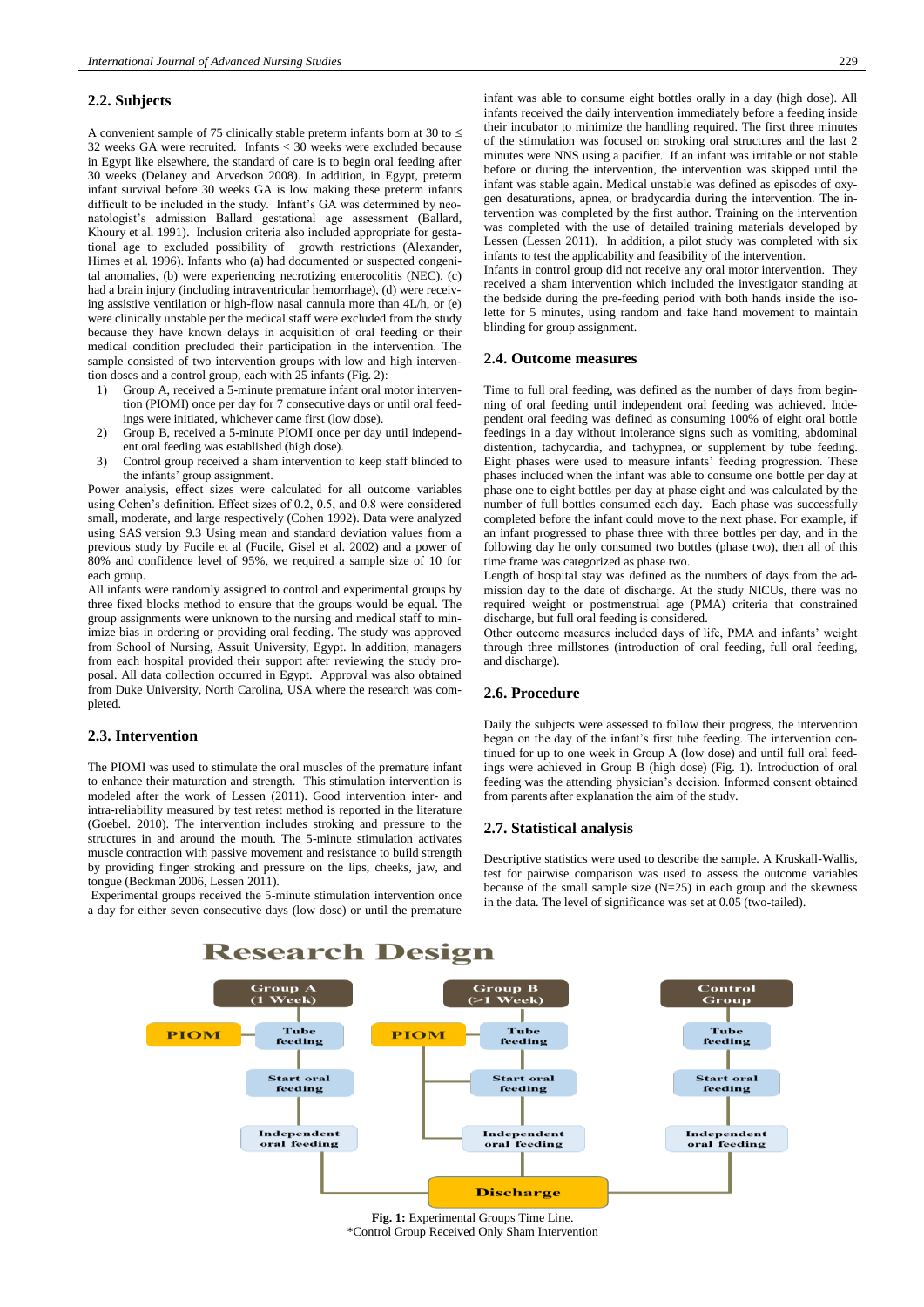#### **2.2. Subjects**

A convenient sample of 75 clinically stable preterm infants born at 30 to  $\leq$ 32 weeks GA were recruited. Infants < 30 weeks were excluded because in Egypt like elsewhere, the standard of care is to begin oral feeding after 30 weeks (Delaney and Arvedson 2008). In addition, in Egypt, preterm infant survival before 30 weeks GA is low making these preterm infants difficult to be included in the study. Infant's GA was determined by neonatologist's admission Ballard gestational age assessment (Ballard, Khoury et al. 1991). Inclusion criteria also included appropriate for gestational age to excluded possibility of growth restrictions (Alexander, Himes et al. 1996). Infants who (a) had documented or suspected congenital anomalies, (b) were experiencing necrotizing enterocolitis (NEC), (c) had a brain injury (including intraventricular hemorrhage), (d) were receiving assistive ventilation or high-flow nasal cannula more than 4L/h, or (e) were clinically unstable per the medical staff were excluded from the study because they have known delays in acquisition of oral feeding or their medical condition precluded their participation in the intervention. The sample consisted of two intervention groups with low and high intervention doses and a control group, each with 25 infants (Fig. 2):

- 1) Group A, received a 5-minute premature infant oral motor intervention (PIOMI) once per day for 7 consecutive days or until oral feedings were initiated, whichever came first (low dose).
- 2) Group B, received a 5-minute PIOMI once per day until independent oral feeding was established (high dose).
- 3) Control group received a sham intervention to keep staff blinded to the infants' group assignment.

Power analysis, effect sizes were calculated for all outcome variables using Cohen's definition. Effect sizes of 0.2, 0.5, and 0.8 were considered small, moderate, and large respectively (Cohen 1992). Data were analyzed using SAS version 9.3 Using mean and standard deviation values from a previous study by Fucile et al (Fucile, Gisel et al. 2002) and a power of 80% and confidence level of 95%, we required a sample size of 10 for each group.

All infants were randomly assigned to control and experimental groups by three fixed blocks method to ensure that the groups would be equal. The group assignments were unknown to the nursing and medical staff to minimize bias in ordering or providing oral feeding. The study was approved from School of Nursing, Assuit University, Egypt. In addition, managers from each hospital provided their support after reviewing the study proposal. All data collection occurred in Egypt. Approval was also obtained from Duke University, North Carolina, USA where the research was completed.

### **2.3. Intervention**

The PIOMI was used to stimulate the oral muscles of the premature infant to enhance their maturation and strength. This stimulation intervention is modeled after the work of Lessen (2011). Good intervention inter- and intra-reliability measured by test retest method is reported in the literature (Goebel. 2010). The intervention includes stroking and pressure to the structures in and around the mouth. The 5-minute stimulation activates muscle contraction with passive movement and resistance to build strength by providing finger stroking and pressure on the lips, cheeks, jaw, and tongue (Beckman 2006, Lessen 2011).

Experimental groups received the 5-minute stimulation intervention once a day for either seven consecutive days (low dose) or until the premature infant was able to consume eight bottles orally in a day (high dose). All infants received the daily intervention immediately before a feeding inside their incubator to minimize the handling required. The first three minutes of the stimulation was focused on stroking oral structures and the last 2 minutes were NNS using a pacifier. If an infant was irritable or not stable before or during the intervention, the intervention was skipped until the infant was stable again. Medical unstable was defined as episodes of oxygen desaturations, apnea, or bradycardia during the intervention. The intervention was completed by the first author. Training on the intervention was completed with the use of detailed training materials developed by Lessen (Lessen 2011). In addition, a pilot study was completed with six infants to test the applicability and feasibility of the intervention.

Infants in control group did not receive any oral motor intervention. They received a sham intervention which included the investigator standing at the bedside during the pre-feeding period with both hands inside the isolette for 5 minutes, using random and fake hand movement to maintain blinding for group assignment.

#### **2.4. Outcome measures**

Time to full oral feeding, was defined as the number of days from beginning of oral feeding until independent oral feeding was achieved. Independent oral feeding was defined as consuming 100% of eight oral bottle feedings in a day without intolerance signs such as vomiting, abdominal distention, tachycardia, and tachypnea, or supplement by tube feeding. Eight phases were used to measure infants' feeding progression. These phases included when the infant was able to consume one bottle per day at phase one to eight bottles per day at phase eight and was calculated by the number of full bottles consumed each day. Each phase was successfully completed before the infant could move to the next phase. For example, if an infant progressed to phase three with three bottles per day, and in the following day he only consumed two bottles (phase two), then all of this time frame was categorized as phase two.

Length of hospital stay was defined as the numbers of days from the admission day to the date of discharge. At the study NICUs, there was no required weight or postmenstrual age (PMA) criteria that constrained discharge, but full oral feeding is considered.

Other outcome measures included days of life, PMA and infants' weight through three millstones (introduction of oral feeding, full oral feeding, and discharge).

#### **2.6. Procedure**

Daily the subjects were assessed to follow their progress, the intervention began on the day of the infant's first tube feeding. The intervention continued for up to one week in Group A (low dose) and until full oral feedings were achieved in Group B (high dose) (Fig. 1). Introduction of oral feeding was the attending physician's decision. Informed consent obtained from parents after explanation the aim of the study.

#### **2.7. Statistical analysis**

Descriptive statistics were used to describe the sample. A Kruskall-Wallis, test for pairwise comparison was used to assess the outcome variables because of the small sample size  $(N=25)$  in each group and the skewness in the data. The level of significance was set at 0.05 (two-tailed).



**Fig. 1:** Experimental Groups Time Line. \*Control Group Received Only Sham Intervention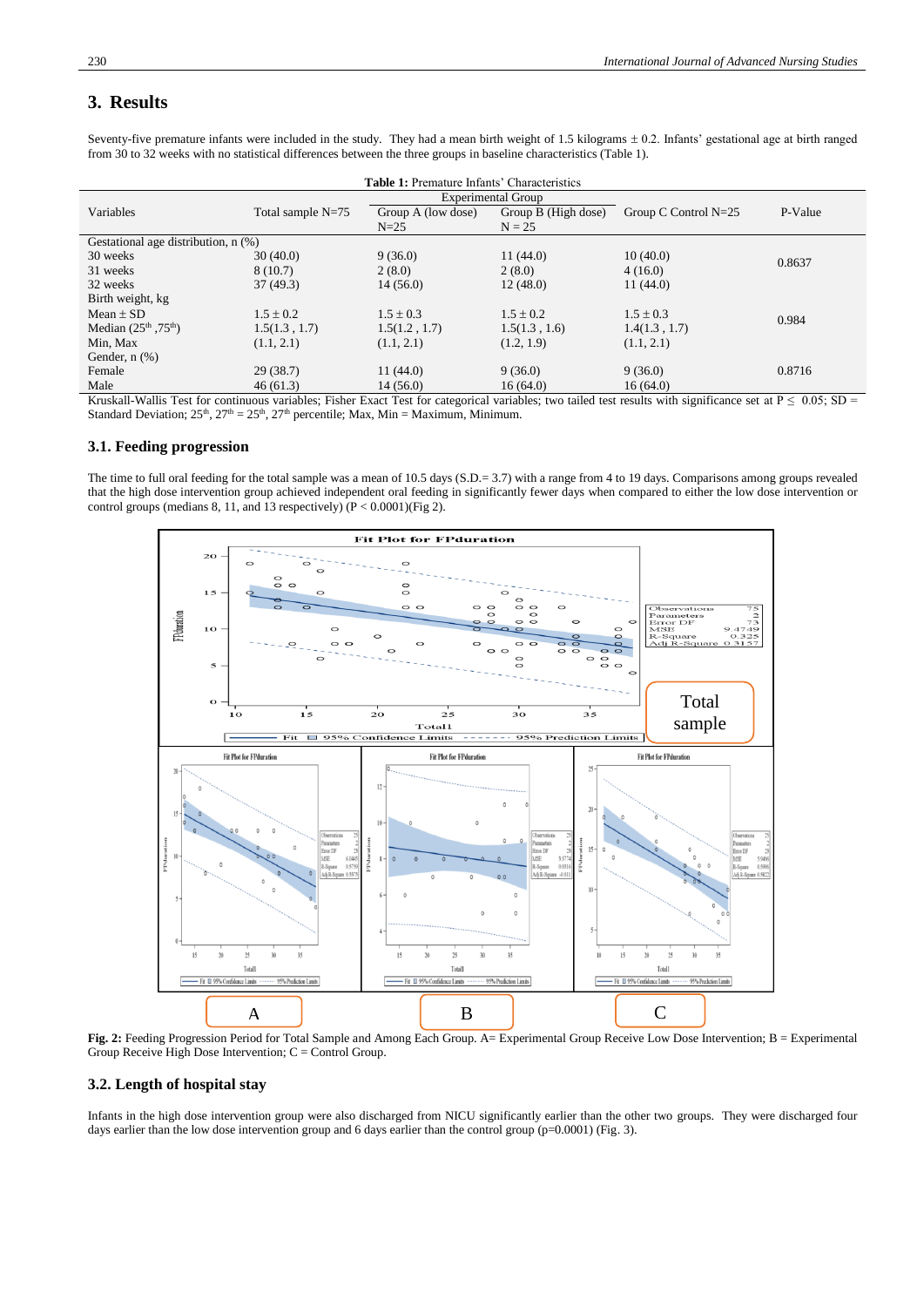# **3. Results**

| <b>Table 1:</b> Premature Infants' Characteristics |                     |                           |                     |                        |         |  |  |  |
|----------------------------------------------------|---------------------|---------------------------|---------------------|------------------------|---------|--|--|--|
|                                                    |                     | <b>Experimental Group</b> |                     |                        |         |  |  |  |
| Variables                                          | Total sample $N=75$ | Group A (low dose)        | Group B (High dose) | Group C Control $N=25$ | P-Value |  |  |  |
|                                                    |                     | $N=25$                    | $N = 2.5$           |                        |         |  |  |  |
| Gestational age distribution, n (%)                |                     |                           |                     |                        |         |  |  |  |
| 30 weeks                                           | 30(40.0)            | 9(36.0)                   | 11(44.0)            | 10(40.0)               | 0.8637  |  |  |  |
| 31 weeks                                           | 8(10.7)             | 2(8.0)                    | 2(8.0)              | 4(16.0)                |         |  |  |  |
| 32 weeks                                           | 37(49.3)            | 14(56.0)                  | 12(48.0)            | 11(44.0)               |         |  |  |  |
| Birth weight, kg                                   |                     |                           |                     |                        |         |  |  |  |
| Mean $\pm$ SD                                      | $1.5 \pm 0.2$       | $1.5 \pm 0.3$             | $1.5 \pm 0.2$       | $1.5 \pm 0.3$          | 0.984   |  |  |  |
| Median $(25^{th}, 75^{th})$                        | 1.5(1.3, 1.7)       | 1.5(1.2, 1.7)             | 1.5(1.3, 1.6)       | 1.4(1.3, 1.7)          |         |  |  |  |
| Min, Max                                           | (1.1, 2.1)          | (1.1, 2.1)                | (1.2, 1.9)          | (1.1, 2.1)             |         |  |  |  |
| Gender, $n$ $(\%)$                                 |                     |                           |                     |                        |         |  |  |  |
| Female                                             | 29(38.7)            | 11(44.0)                  | 9(36.0)             | 9(36.0)                | 0.8716  |  |  |  |
| Male                                               | 46(61.3)            | 14(56.0)                  | 16(64.0)            | 16(64.0)               |         |  |  |  |

Seventy-five premature infants were included in the study. They had a mean birth weight of 1.5 kilograms  $\pm$  0.2. Infants' gestational age at birth ranged from 30 to 32 weeks with no statistical differences between the three groups in baseline characteristics (Table 1).

Kruskall-Wallis Test for continuous variables; Fisher Exact Test for categorical variables; two tailed test results with significance set at P  $\leq 0.05$ ; SD = Standard Deviation;  $25<sup>th</sup>$ ,  $27<sup>th</sup> = 25<sup>th</sup>$ ,  $27<sup>th</sup>$  percentile; Max, Min = Maximum, Minimum.

# **3.1. Feeding progression**

The time to full oral feeding for the total sample was a mean of 10.5 days (S.D.= 3.7) with a range from 4 to 19 days. Comparisons among groups revealed that the high dose intervention group achieved independent oral feeding in significantly fewer days when compared to either the low dose intervention or control groups (medians 8, 11, and 13 respectively) (P < 0.0001)(Fig 2).



**Fig. 2:** Feeding Progression Period for Total Sample and Among Each Group. A= Experimental Group Receive Low Dose Intervention; B = Experimental Group Receive High Dose Intervention; C = Control Group.

# **3.2. Length of hospital stay**

Infants in the high dose intervention group were also discharged from NICU significantly earlier than the other two groups. They were discharged four days earlier than the low dose intervention group and 6 days earlier than the control group (p=0.0001) (Fig. 3).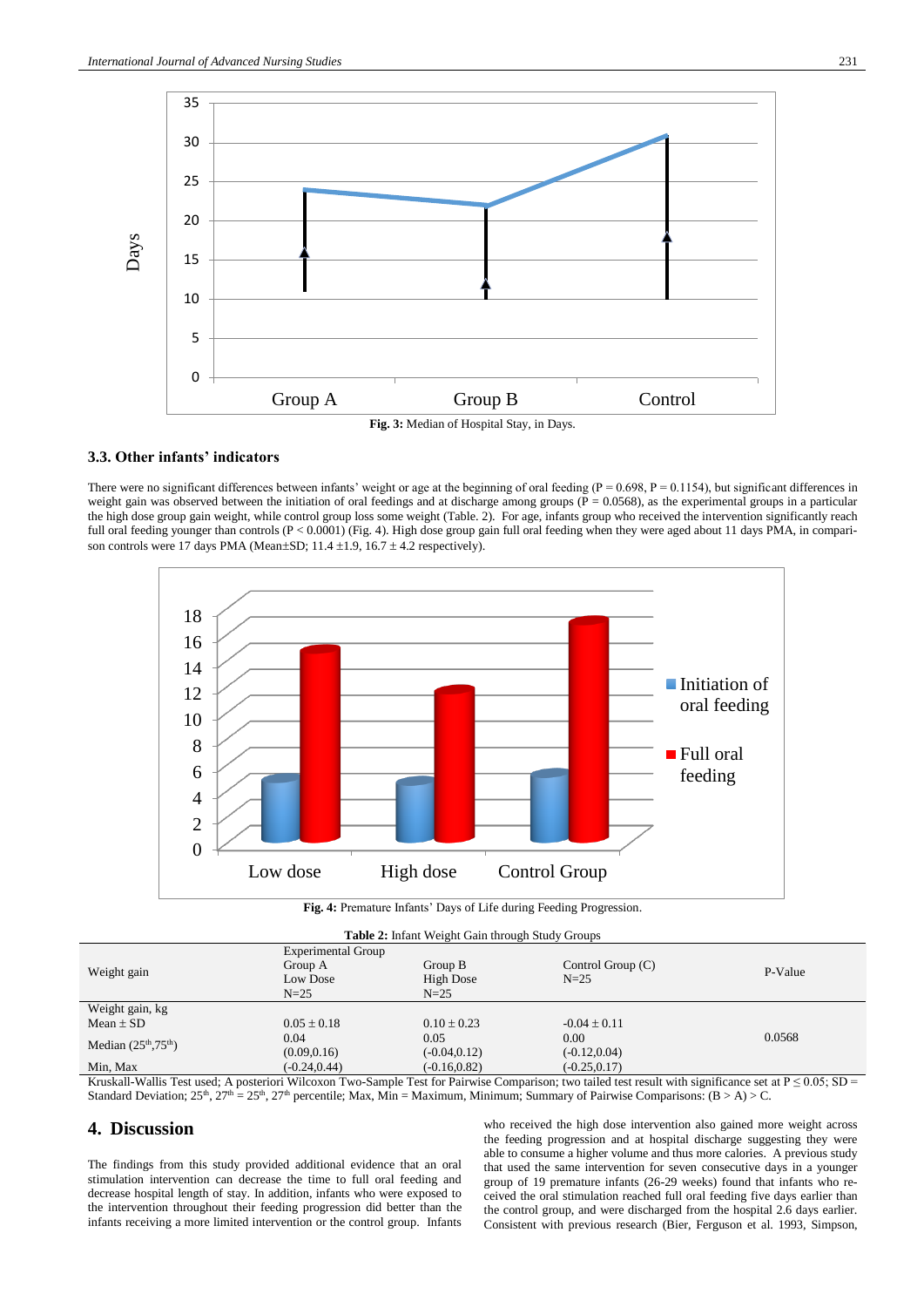

#### **3.3. Other infants' indicators**

There were no significant differences between infants' weight or age at the beginning of oral feeding ( $P = 0.698$ ,  $P = 0.1154$ ), but significant differences in weight gain was observed between the initiation of oral feedings and at discharge among groups ( $\overline{P} = 0.0568$ ), as the experimental groups in a particular the high dose group gain weight, while control group loss some weight (Table. 2). For age, infants group who received the intervention significantly reach full oral feeding younger than controls (P < 0.0001) (Fig. 4). High dose group gain full oral feeding when they were aged about 11 days PMA, in comparison controls were 17 days PMA (Mean $\pm$ SD; 11.4  $\pm$ 1.9, 16.7  $\pm$  4.2 respectively).



**Fig. 4:** Premature Infants' Days of Life during Feeding Progression.

| <b>Table 2:</b> Infant Weight Gain through Study Groups |                                 |                 |                     |         |  |  |  |  |
|---------------------------------------------------------|---------------------------------|-----------------|---------------------|---------|--|--|--|--|
| Weight gain                                             | <b>Experimental Group</b>       |                 |                     |         |  |  |  |  |
|                                                         | Group A                         | Group B         | Control Group $(C)$ | P-Value |  |  |  |  |
|                                                         | $N=25$<br>High Dose<br>Low Dose |                 |                     |         |  |  |  |  |
|                                                         | $N=25$                          | $N=25$          |                     |         |  |  |  |  |
| Weight gain, kg                                         |                                 |                 |                     |         |  |  |  |  |
| Mean $\pm$ SD                                           | $0.05 \pm 0.18$                 | $0.10 + 0.23$   | $-0.04 \pm 0.11$    |         |  |  |  |  |
| Median $(25^{\text{th}}, 75^{\text{th}})$               | 0.04                            | 0.05            | 0.00                | 0.0568  |  |  |  |  |
|                                                         | (0.09, 0.16)                    | $(-0.04, 0.12)$ | $(-0.12, 0.04)$     |         |  |  |  |  |
| Min, Max                                                | $(-0.24, 0.44)$                 | $(-0.16, 0.82)$ | $(-0.25, 0.17)$     |         |  |  |  |  |

Kruskall-Wallis Test used; A posteriori Wilcoxon Two-Sample Test for Pairwise Comparison; two tailed test result with significance set at  $P \le 0.05$ ; SD = Standard Deviation;  $25^{\text{th}}$ ,  $27^{\text{th}} = 25^{\text{th}}$ ,  $27^{\text{th}}$  percentile; Max, Min = Maximum, Minimum; Summary of Pairwise Comparisons: (B > A) > C.

# **4. Discussion**

The findings from this study provided additional evidence that an oral stimulation intervention can decrease the time to full oral feeding and decrease hospital length of stay. In addition, infants who were exposed to the intervention throughout their feeding progression did better than the infants receiving a more limited intervention or the control group. Infants who received the high dose intervention also gained more weight across the feeding progression and at hospital discharge suggesting they were able to consume a higher volume and thus more calories. A previous study that used the same intervention for seven consecutive days in a younger group of 19 premature infants (26-29 weeks) found that infants who received the oral stimulation reached full oral feeding five days earlier than the control group, and were discharged from the hospital 2.6 days earlier. Consistent with previous research (Bier, Ferguson et al. 1993, Simpson,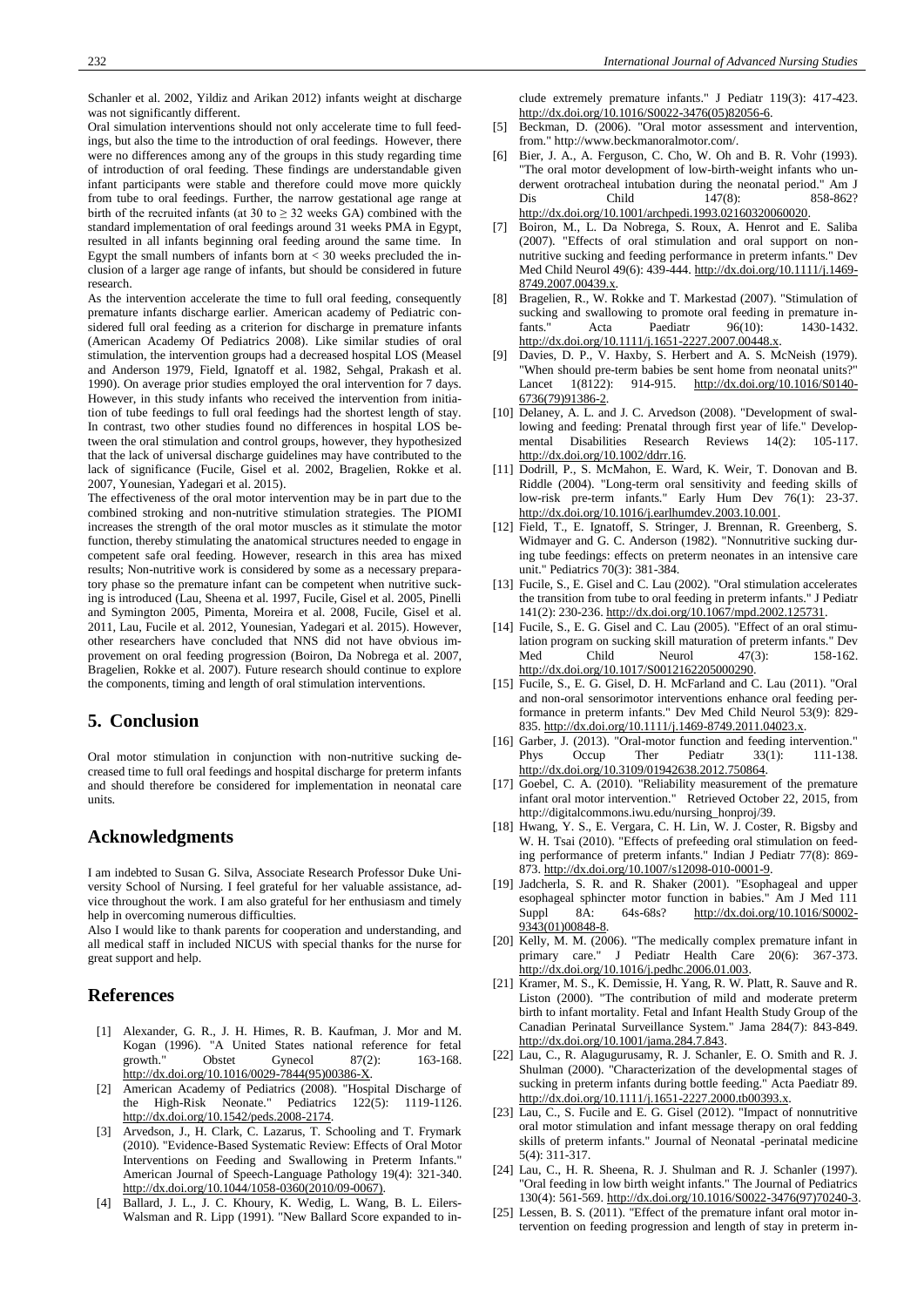Schanler et al. 2002, Yildiz and Arikan 2012) infants weight at discharge was not significantly different.

Oral simulation interventions should not only accelerate time to full feedings, but also the time to the introduction of oral feedings. However, there were no differences among any of the groups in this study regarding time of introduction of oral feeding. These findings are understandable given infant participants were stable and therefore could move more quickly from tube to oral feedings. Further, the narrow gestational age range at birth of the recruited infants (at 30 to  $\geq$  32 weeks GA) combined with the standard implementation of oral feedings around 31 weeks PMA in Egypt, resulted in all infants beginning oral feeding around the same time. In Egypt the small numbers of infants born at  $<$  30 weeks precluded the inclusion of a larger age range of infants, but should be considered in future research.

As the intervention accelerate the time to full oral feeding, consequently premature infants discharge earlier. American academy of Pediatric considered full oral feeding as a criterion for discharge in premature infants (American Academy Of Pediatrics 2008). Like similar studies of oral stimulation, the intervention groups had a decreased hospital LOS (Measel and Anderson 1979, Field, Ignatoff et al. 1982, Sehgal, Prakash et al. 1990). On average prior studies employed the oral intervention for 7 days. However, in this study infants who received the intervention from initiation of tube feedings to full oral feedings had the shortest length of stay. In contrast, two other studies found no differences in hospital LOS between the oral stimulation and control groups, however, they hypothesized that the lack of universal discharge guidelines may have contributed to the lack of significance (Fucile, Gisel et al. 2002, Bragelien, Rokke et al. 2007, Younesian, Yadegari et al. 2015).

The effectiveness of the oral motor intervention may be in part due to the combined stroking and non-nutritive stimulation strategies. The PIOMI increases the strength of the oral motor muscles as it stimulate the motor function, thereby stimulating the anatomical structures needed to engage in competent safe oral feeding. However, research in this area has mixed results; Non-nutritive work is considered by some as a necessary preparatory phase so the premature infant can be competent when nutritive sucking is introduced (Lau, Sheena et al. 1997, Fucile, Gisel et al. 2005, Pinelli and Symington 2005, Pimenta, Moreira et al. 2008, Fucile, Gisel et al. 2011, Lau, Fucile et al. 2012, Younesian, Yadegari et al. 2015). However, other researchers have concluded that NNS did not have obvious improvement on oral feeding progression (Boiron, Da Nobrega et al. 2007, Bragelien, Rokke et al. 2007). Future research should continue to explore the components, timing and length of oral stimulation interventions.

# **5. Conclusion**

Oral motor stimulation in conjunction with non-nutritive sucking decreased time to full oral feedings and hospital discharge for preterm infants and should therefore be considered for implementation in neonatal care units.

# **Acknowledgments**

I am indebted to Susan G. Silva, Associate Research Professor Duke University School of Nursing. I feel grateful for her valuable assistance, advice throughout the work. I am also grateful for her enthusiasm and timely help in overcoming numerous difficulties.

Also I would like to thank parents for cooperation and understanding, and all medical staff in included NICUS with special thanks for the nurse for great support and help.

# **References**

- [1] Alexander, G. R., J. H. Himes, R. B. Kaufman, J. Mor and M. Kogan (1996). "A United States national reference for fetal<br>growth." Obstet Gynecol 87(2): 163-168. growth." Obstet Gynecol 87(2): [http://dx.doi.org/10.1016/0029-7844\(95\)00386-X.](http://dx.doi.org/10.1016/0029-7844(95)00386-X)
- [2] American Academy of Pediatrics (2008). "Hospital Discharge of the High-Risk Neonate." Pediatrics 122(5): 1119-1126. [http://dx.doi.org/10.1542/peds.2008-2174.](http://dx.doi.org/10.1542/peds.2008-2174)
- Arvedson, J., H. Clark, C. Lazarus, T. Schooling and T. Frymark (2010). "Evidence-Based Systematic Review: Effects of Oral Motor Interventions on Feeding and Swallowing in Preterm Infants." American Journal of Speech-Language Pathology 19(4): 321-340. [http://dx.doi.org/10.1044/1058-0360\(2010/09-0067\).](http://dx.doi.org/10.1044/1058-0360(2010/09-0067))
- [4] Ballard, J. L., J. C. Khoury, K. Wedig, L. Wang, B. L. Eilers-Walsman and R. Lipp (1991). "New Ballard Score expanded to in-

clude extremely premature infants." J Pediatr 119(3): 417-423. [http://dx.doi.org/10.1016/S0022-3476\(05\)82056-6.](http://dx.doi.org/10.1016/S0022-3476(05)82056-6)

- [5] Beckman, D. (2006). "Oral motor assessment and intervention, from." http://www.beckmanoralmotor.com/.
- Bier, J. A., A. Ferguson, C. Cho, W. Oh and B. R. Vohr (1993). "The oral motor development of low-birth-weight infants who underwent orotracheal intubation during the neonatal period." Am J<br>Dis Child 147(8): 858-862? Dis Child 147(8): 858-862? [http://dx.doi.org/10.1001/archpedi.1993.02160320060020.](http://dx.doi.org/10.1001/archpedi.1993.02160320060020)
- [7] Boiron, M., L. Da Nobrega, S. Roux, A. Henrot and E. Saliba (2007). "Effects of oral stimulation and oral support on nonnutritive sucking and feeding performance in preterm infants." Dev Med Child Neurol 49(6): 439-444. [http://dx.doi.org/10.1111/j.1469-](http://dx.doi.org/10.1111/j.1469-8749.2007.00439.x) [8749.2007.00439.x.](http://dx.doi.org/10.1111/j.1469-8749.2007.00439.x)
- [8] Bragelien, R., W. Rokke and T. Markestad (2007). "Stimulation of sucking and swallowing to promote oral feeding in premature in-<br>fants." Acta Paediatr  $96(10)$ : 1430-1432. Acta Paediatr 96(10): 1430-1432. [http://dx.doi.org/10.1111/j.1651-2227.2007.00448.x.](http://dx.doi.org/10.1111/j.1651-2227.2007.00448.x)
- Davies, D. P., V. Haxby, S. Herbert and A. S. McNeish (1979). "When should pre-term babies be sent home from neonatal units?" Lancet 1(8122): 914-915. [http://dx.doi.org/10.1016/S0140-](http://dx.doi.org/10.1016/S0140-6736(79)91386-2) [6736\(79\)91386-2.](http://dx.doi.org/10.1016/S0140-6736(79)91386-2)
- [10] Delaney, A. L. and J. C. Arvedson (2008). "Development of swallowing and feeding: Prenatal through first year of life." Developmental Disabilities Research Reviews 14(2): 105-117. [http://dx.doi.org/10.1002/ddrr.16.](http://dx.doi.org/10.1002/ddrr.16)
- [11] Dodrill, P., S. McMahon, E. Ward, K. Weir, T. Donovan and B. Riddle (2004). "Long-term oral sensitivity and feeding skills of low-risk pre-term infants." Early Hum Dev 76(1): 23-37. [http://dx.doi.org/10.1016/j.earlhumdev.2003.10.001.](http://dx.doi.org/10.1016/j.earlhumdev.2003.10.001)
- [12] Field, T., E. Ignatoff, S. Stringer, J. Brennan, R. Greenberg, S. Widmayer and G. C. Anderson (1982). "Nonnutritive sucking during tube feedings: effects on preterm neonates in an intensive care unit." Pediatrics 70(3): 381-384.
- [13] Fucile, S., E. Gisel and C. Lau (2002). "Oral stimulation accelerates the transition from tube to oral feeding in preterm infants." J Pediatr 141(2): 230-236. [http://dx.doi.org/10.1067/mpd.2002.125731.](http://dx.doi.org/10.1067/mpd.2002.125731)
- [14] Fucile, S., E. G. Gisel and C. Lau (2005). "Effect of an oral stimulation program on sucking skill maturation of preterm infants." Dev Med Child Neurol 47(3): 158-162. [http://dx.doi.org/10.1017/S0012162205000290.](http://dx.doi.org/10.1017/S0012162205000290)
- [15] Fucile, S., E. G. Gisel, D. H. McFarland and C. Lau (2011). "Oral and non-oral sensorimotor interventions enhance oral feeding performance in preterm infants." Dev Med Child Neurol 53(9): 829- 835. [http://dx.doi.org/10.1111/j.1469-8749.2011.04023.x.](http://dx.doi.org/10.1111/j.1469-8749.2011.04023.x)
- [16] Garber, J. (2013). "Oral-motor function and feeding intervention." Phys Occup Ther Pediatr 33(1): 111-138. [http://dx.doi.org/10.3109/01942638.2012.750864.](http://dx.doi.org/10.3109/01942638.2012.750864)
- [17] Goebel, C. A. (2010). "Reliability measurement of the premature infant oral motor intervention." Retrieved October 22, 2015, from http://digitalcommons.iwu.edu/nursing\_honproj/39.
- [18] Hwang, Y. S., E. Vergara, C. H. Lin, W. J. Coster, R. Bigsby and W. H. Tsai (2010). "Effects of prefeeding oral stimulation on feeding performance of preterm infants." Indian J Pediatr 77(8): 869- 873. [http://dx.doi.org/10.1007/s12098-010-0001-9.](http://dx.doi.org/10.1007/s12098-010-0001-9)
- [19] Jadcherla, S. R. and R. Shaker (2001). "Esophageal and upper esophageal sphincter motor function in babies." Am J Med 111 Suppl 8A: 64s-68s? [http://dx.doi.org/10.1016/S0002-](http://dx.doi.org/10.1016/S0002-9343(01)00848-8) [9343\(01\)00848-8.](http://dx.doi.org/10.1016/S0002-9343(01)00848-8)
- [20] Kelly, M. M. (2006). "The medically complex premature infant in primary care." J Pediatr Health Care 20(6): 367-373. [http://dx.doi.org/10.1016/j.pedhc.2006.01.003.](http://dx.doi.org/10.1016/j.pedhc.2006.01.003)
- [21] Kramer, M. S., K. Demissie, H. Yang, R. W. Platt, R. Sauve and R. Liston (2000). "The contribution of mild and moderate preterm birth to infant mortality. Fetal and Infant Health Study Group of the Canadian Perinatal Surveillance System." Jama 284(7): 843-849. [http://dx.doi.org/10.1001/jama.284.7.843.](http://dx.doi.org/10.1001/jama.284.7.843)
- [22] Lau, C., R. Alagugurusamy, R. J. Schanler, E. O. Smith and R. J. Shulman (2000). "Characterization of the developmental stages of sucking in preterm infants during bottle feeding." Acta Paediatr 89. [http://dx.doi.org/10.1111/j.1651-2227.2000.tb00393.x.](http://dx.doi.org/10.1111/j.1651-2227.2000.tb00393.x)
- [23] Lau, C., S. Fucile and E. G. Gisel (2012). "Impact of nonnutritive oral motor stimulation and infant message therapy on oral fedding skills of preterm infants." Journal of Neonatal -perinatal medicine 5(4): 311-317.
- [24] Lau, C., H. R. Sheena, R. J. Shulman and R. J. Schanler (1997). "Oral feeding in low birth weight infants." The Journal of Pediatrics 130(4): 561-569. [http://dx.doi.org/10.1016/S0022-3476\(97\)70240-3.](http://dx.doi.org/10.1016/S0022-3476(97)70240-3)
- [25] Lessen, B. S. (2011). "Effect of the premature infant oral motor intervention on feeding progression and length of stay in preterm in-